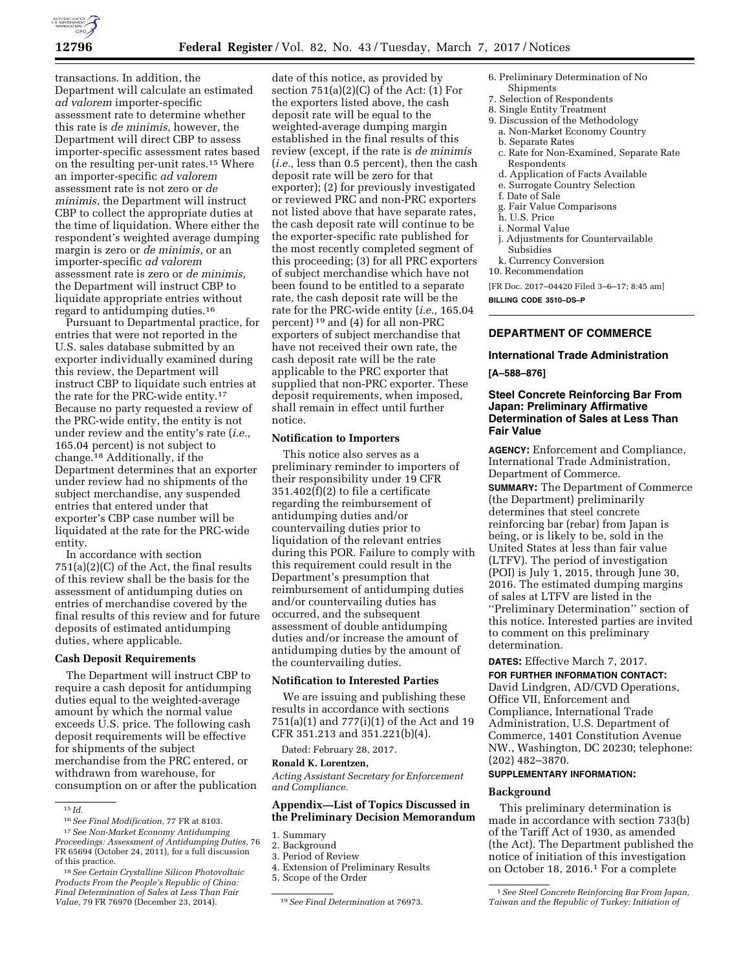

transactions. In addition, the Department will calculate an estimated *ad valorem* importer-specific assessment rate to determine whether this rate is *de minimis,* however, the Department will direct CBP to assess importer-specific assessment rates based on the resulting per-unit rates.15 Where an importer-specific *ad valorem*  assessment rate is not zero or *de minimis,* the Department will instruct CBP to collect the appropriate duties at the time of liquidation. Where either the respondent's weighted average dumping margin is zero or *de minimis,* or an importer-specific *ad valorem*  assessment rate is zero or *de minimis,*  the Department will instruct CBP to liquidate appropriate entries without regard to antidumping duties.16

Pursuant to Departmental practice, for entries that were not reported in the U.S. sales database submitted by an exporter individually examined during this review, the Department will instruct CBP to liquidate such entries at the rate for the PRC-wide entity.17 Because no party requested a review of the PRC-wide entity, the entity is not under review and the entity's rate (*i.e.,*  165.04 percent) is not subject to change.18 Additionally, if the Department determines that an exporter under review had no shipments of the subject merchandise, any suspended entries that entered under that exporter's CBP case number will be liquidated at the rate for the PRC-wide entity.

In accordance with section 751(a)(2)(C) of the Act, the final results of this review shall be the basis for the assessment of antidumping duties on entries of merchandise covered by the final results of this review and for future deposits of estimated antidumping duties, where applicable.

#### **Cash Deposit Requirements**

The Department will instruct CBP to require a cash deposit for antidumping duties equal to the weighted-average amount by which the normal value exceeds U.S. price. The following cash deposit requirements will be effective for shipments of the subject merchandise from the PRC entered, or withdrawn from warehouse, for consumption on or after the publication

date of this notice, as provided by section 751(a)(2)(C) of the Act: (1) For the exporters listed above, the cash deposit rate will be equal to the weighted-average dumping margin established in the final results of this review (except, if the rate is *de minimis*  (*i.e.,* less than 0.5 percent), then the cash deposit rate will be zero for that exporter); (2) for previously investigated or reviewed PRC and non-PRC exporters not listed above that have separate rates, the cash deposit rate will continue to be the exporter-specific rate published for the most recently completed segment of this proceeding; (3) for all PRC exporters of subject merchandise which have not been found to be entitled to a separate rate, the cash deposit rate will be the rate for the PRC-wide entity (*i.e.,* 165.04 percent) 19 and (4) for all non-PRC exporters of subject merchandise that have not received their own rate, the cash deposit rate will be the rate applicable to the PRC exporter that supplied that non-PRC exporter. These deposit requirements, when imposed, shall remain in effect until further notice.

#### **Notification to Importers**

This notice also serves as a preliminary reminder to importers of their responsibility under 19 CFR  $351.402(f)(2)$  to file a certificate regarding the reimbursement of antidumping duties and/or countervailing duties prior to liquidation of the relevant entries during this POR. Failure to comply with this requirement could result in the Department's presumption that reimbursement of antidumping duties and/or countervailing duties has occurred, and the subsequent assessment of double antidumping duties and/or increase the amount of antidumping duties by the amount of the countervailing duties.

#### **Notification to Interested Parties**

We are issuing and publishing these results in accordance with sections 751(a)(1) and 777(i)(1) of the Act and 19 CFR 351.213 and 351.221(b)(4).

Dated: February 28, 2017.

#### **Ronald K. Lorentzen,**

*Acting Assistant Secretary for Enforcement and Compliance.* 

### **Appendix—List of Topics Discussed in the Preliminary Decision Memorandum**

1. Summary

- 3. Period of Review
- 4. Extension of Preliminary Results
- 5. Scope of the Order
- 6. Preliminary Determination of No
- Shipments 7. Selection of Respondents
- 8. Single Entity Treatment
- 9. Discussion of the Methodology
- a. Non-Market Economy Country b. Separate Rates
- c. Rate for Non-Examined, Separate Rate Respondents
- d. Application of Facts Available
- e. Surrogate Country Selection
- f. Date of Sale
- g. Fair Value Comparisons
- h. U.S. Price
- i. Normal Value
- j. Adjustments for Countervailable Subsidies
- k. Currency Conversion
- 10. Recommendation

[FR Doc. 2017–04420 Filed 3–6–17; 8:45 am]

**BILLING CODE 3510–DS–P** 

# **DEPARTMENT OF COMMERCE**

#### **International Trade Administration**

#### **[A–588–876]**

### **Steel Concrete Reinforcing Bar From Japan: Preliminary Affirmative Determination of Sales at Less Than Fair Value**

**AGENCY:** Enforcement and Compliance, International Trade Administration, Department of Commerce.

**SUMMARY:** The Department of Commerce (the Department) preliminarily determines that steel concrete reinforcing bar (rebar) from Japan is being, or is likely to be, sold in the United States at less than fair value (LTFV). The period of investigation (POI) is July 1, 2015, through June 30, 2016. The estimated dumping margins of sales at LTFV are listed in the ''Preliminary Determination'' section of this notice. Interested parties are invited to comment on this preliminary determination.

**DATES:** Effective March 7, 2017.

**FOR FURTHER INFORMATION CONTACT:**  David Lindgren, AD/CVD Operations, Office VII, Enforcement and Compliance, International Trade Administration, U.S. Department of Commerce, 1401 Constitution Avenue NW., Washington, DC 20230; telephone: (202) 482–3870.

## **SUPPLEMENTARY INFORMATION:**

#### **Background**

This preliminary determination is made in accordance with section 733(b) of the Tariff Act of 1930, as amended (the Act). The Department published the notice of initiation of this investigation on October 18, 2016.1 For a complete

<sup>15</sup> *Id.* 

<sup>16</sup>*See Final Modification,* 77 FR at 8103.

<sup>17</sup>*See Non-Market Economy Antidumping Proceedings: Assessment of Antidumping Duties,* 76 FR 65694 (October 24, 2011), for a full discussion of this practice.

<sup>18</sup>*See Certain Crystalline Silicon Photovoltaic Products From the People's Republic of China: Final Determination of Sales at Less Than Fair Value,* 79 FR 76970 (December 23, 2014). 19*See Final Determination* at 76973.

<sup>2.</sup> Background

<sup>1</sup>*See Steel Concrete Reinforcing Bar From Japan, Taiwan and the Republic of Turkey: Initiation of*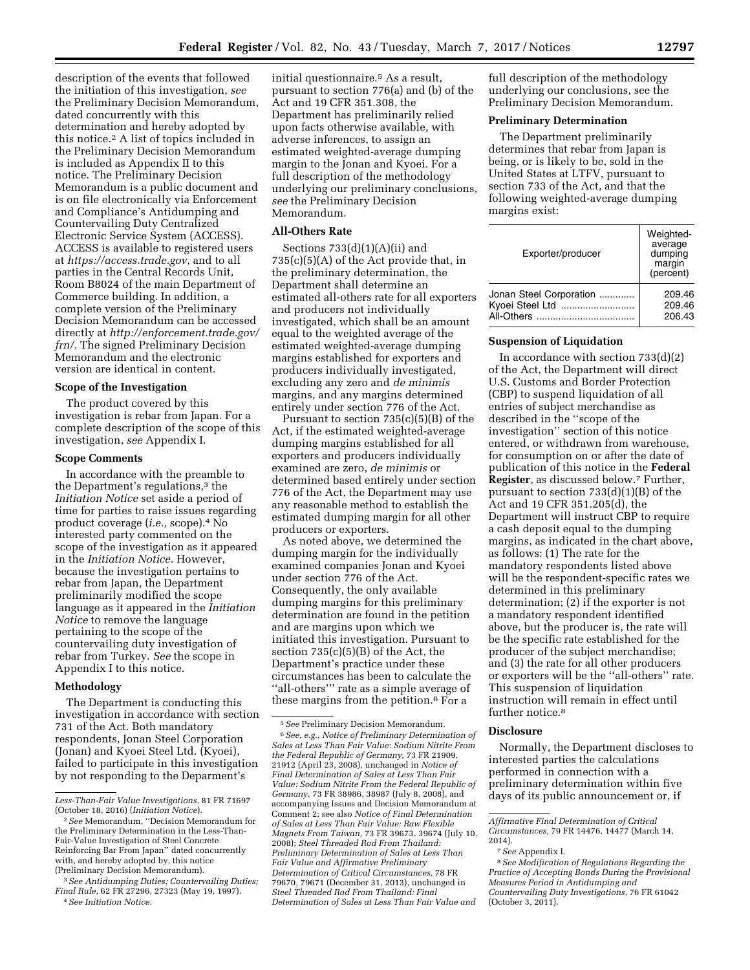description of the events that followed the initiation of this investigation, *see*  the Preliminary Decision Memorandum, dated concurrently with this determination and hereby adopted by this notice.2 A list of topics included in the Preliminary Decision Memorandum is included as Appendix II to this notice. The Preliminary Decision Memorandum is a public document and is on file electronically via Enforcement and Compliance's Antidumping and Countervailing Duty Centralized Electronic Service System (ACCESS). ACCESS is available to registered users at *<https://access.trade.gov>*, and to all parties in the Central Records Unit, Room B8024 of the main Department of Commerce building. In addition, a complete version of the Preliminary Decision Memorandum can be accessed directly at *[http://enforcement.trade.gov/](http://enforcement.trade.gov/frn/)  [frn/.](http://enforcement.trade.gov/frn/)* The signed Preliminary Decision Memorandum and the electronic version are identical in content.

### **Scope of the Investigation**

The product covered by this investigation is rebar from Japan. For a complete description of the scope of this investigation, *see* Appendix I.

### **Scope Comments**

In accordance with the preamble to the Department's regulations,<sup>3</sup> the *Initiation Notice* set aside a period of time for parties to raise issues regarding product coverage (*i.e.,* scope).4 No interested party commented on the scope of the investigation as it appeared in the *Initiation Notice.* However, because the investigation pertains to rebar from Japan, the Department preliminarily modified the scope language as it appeared in the *Initiation Notice* to remove the language pertaining to the scope of the countervailing duty investigation of rebar from Turkey. *See* the scope in Appendix I to this notice.

# **Methodology**

The Department is conducting this investigation in accordance with section 731 of the Act. Both mandatory respondents, Jonan Steel Corporation (Jonan) and Kyoei Steel Ltd. (Kyoei), failed to participate in this investigation by not responding to the Deparment's

initial questionnaire.<sup>5</sup> As a result, pursuant to section 776(a) and (b) of the Act and 19 CFR 351.308, the Department has preliminarily relied upon facts otherwise available, with adverse inferences, to assign an estimated weighted-average dumping margin to the Jonan and Kyoei. For a full description of the methodology underlying our preliminary conclusions, *see* the Preliminary Decision Memorandum.

#### **All-Others Rate**

Sections  $733(d)(1)(A)(ii)$  and 735(c)(5)(A) of the Act provide that, in the preliminary determination, the Department shall determine an estimated all-others rate for all exporters and producers not individually investigated, which shall be an amount equal to the weighted average of the estimated weighted-average dumping margins established for exporters and producers individually investigated, excluding any zero and *de minimis*  margins, and any margins determined entirely under section 776 of the Act.

Pursuant to section 735(c)(5)(B) of the Act, if the estimated weighted-average dumping margins established for all exporters and producers individually examined are zero, *de minimis* or determined based entirely under section 776 of the Act, the Department may use any reasonable method to establish the estimated dumping margin for all other producers or exporters.

As noted above, we determined the dumping margin for the individually examined companies Jonan and Kyoei under section 776 of the Act. Consequently, the only available dumping margins for this preliminary determination are found in the petition and are margins upon which we initiated this investigation. Pursuant to section  $735(c)(5)(B)$  of the Act, the Department's practice under these circumstances has been to calculate the ''all-others''' rate as a simple average of these margins from the petition.6 For a

full description of the methodology underlying our conclusions, see the Preliminary Decision Memorandum.

### **Preliminary Determination**

The Department preliminarily determines that rebar from Japan is being, or is likely to be, sold in the United States at LTFV, pursuant to section 733 of the Act, and that the following weighted-average dumping margins exist:

| Exporter/producer       | Weighted-<br>average<br>dumping<br>margin<br>(percent) |
|-------------------------|--------------------------------------------------------|
| Jonan Steel Corporation | 209.46                                                 |
|                         | 209.46                                                 |
|                         | 206.43                                                 |

### **Suspension of Liquidation**

In accordance with section 733(d)(2) of the Act, the Department will direct U.S. Customs and Border Protection (CBP) to suspend liquidation of all entries of subject merchandise as described in the ''scope of the investigation'' section of this notice entered, or withdrawn from warehouse, for consumption on or after the date of publication of this notice in the **Federal Register**, as discussed below.7 Further, pursuant to section 733(d)(1)(B) of the Act and 19 CFR 351.205(d), the Department will instruct CBP to require a cash deposit equal to the dumping margins, as indicated in the chart above, as follows: (1) The rate for the mandatory respondents listed above will be the respondent-specific rates we determined in this preliminary determination; (2) if the exporter is not a mandatory respondent identified above, but the producer is, the rate will be the specific rate established for the producer of the subject merchandise; and (3) the rate for all other producers or exporters will be the ''all-others'' rate. This suspension of liquidation instruction will remain in effect until further notice.<sup>8</sup>

### **Disclosure**

Normally, the Department discloses to interested parties the calculations performed in connection with a preliminary determination within five days of its public announcement or, if

*Less-Than-Fair Value Investigations*, 81 FR 71697 (October 18, 2016) (*Initiation Notice*).

<sup>2</sup>*See* Memorandum, ''Decision Memorandum for the Preliminary Determination in the Less-Than-Fair-Value Investigation of Steel Concrete Reinforcing Bar From Japan'' dated concurrently with, and hereby adopted by, this notice (Preliminary Decision Memorandum).

<sup>3</sup>*See Antidumping Duties; Countervailing Duties; Final Rule,* 62 FR 27296, 27323 (May 19, 1997). 4*See Initiation Notice.* 

<sup>5</sup>*See* Preliminary Decision Memorandum. 6*See, e.g., Notice of Preliminary Determination of Sales at Less Than Fair Value: Sodium Nitrite From the Federal Republic of Germany,* 73 FR 21909, 21912 (April 23, 2008), unchanged in *Notice of Final Determination of Sales at Less Than Fair Value: Sodium Nitrite From the Federal Republic of Germany,* 73 FR 38986, 38987 (July 8, 2008), and accompanying Issues and Decision Memorandum at Comment 2; see also *Notice of Final Determination of Sales at Less Than Fair Value: Raw Flexible Magnets From Taiwan,* 73 FR 39673, 39674 (July 10, 2008); *Steel Threaded Rod From Thailand: Preliminary Determination of Sales at Less Than Fair Value and Affirmative Preliminary Determination of Critical Circumstances,* 78 FR 79670, 79671 (December 31, 2013), unchanged in *Steel Threaded Rod From Thailand: Final Determination of Sales at Less Than Fair Value and* 

*Affirmative Final Determination of Critical Circumstances,* 79 FR 14476, 14477 (March 14, 2014).

<sup>7</sup>*See* Appendix I.

<sup>8</sup>*See Modification of Regulations Regarding the Practice of Accepting Bonds During the Provisional Measures Period in Antidumping and Countervailing Duty Investigations,* 76 FR 61042 (October 3, 2011).